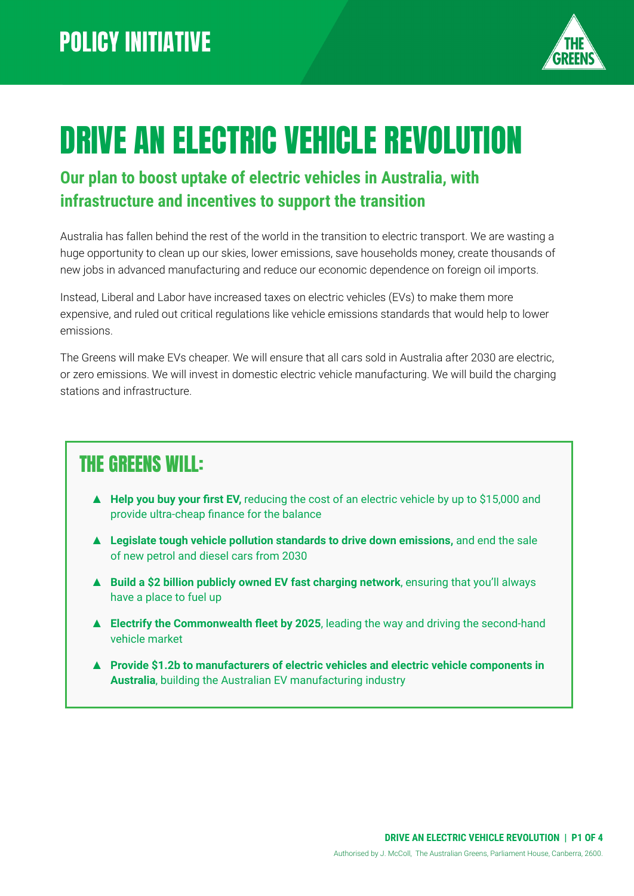

# DRIVE AN ELECTRIC VEHICLE REVOLUTION

#### **Our plan to boost uptake of electric vehicles in Australia, with infrastructure and incentives to support the transition**

Australia has fallen behind the rest of the world in the transition to electric transport. We are wasting a huge opportunity to clean up our skies, lower emissions, save households money, create thousands of new jobs in advanced manufacturing and reduce our economic dependence on foreign oil imports.

Instead, Liberal and Labor have increased taxes on electric vehicles (EVs) to make them more expensive, and ruled out critical regulations like vehicle emissions standards that would help to lower emissions.

The Greens will make EVs cheaper. We will ensure that all cars sold in Australia after 2030 are electric, or zero emissions. We will invest in domestic electric vehicle manufacturing. We will build the charging stations and infrastructure.

### THE GREENS WILL:

- ▲ **Help you buy your first EV,** reducing the cost of an electric vehicle by up to \$15,000 and provide ultra-cheap finance for the balance
- ▲ **Legislate tough vehicle pollution standards to drive down emissions,** and end the sale of new petrol and diesel cars from 2030
- ▲ **Build a \$2 billion publicly owned EV fast charging network**, ensuring that you'll always have a place to fuel up
- ▲ **Electrify the Commonwealth fleet by 2025**, leading the way and driving the second-hand vehicle market
- **▲ Provide \$1.2b to manufacturers of electric vehicles and electric vehicle components in Australia**, building the Australian EV manufacturing industry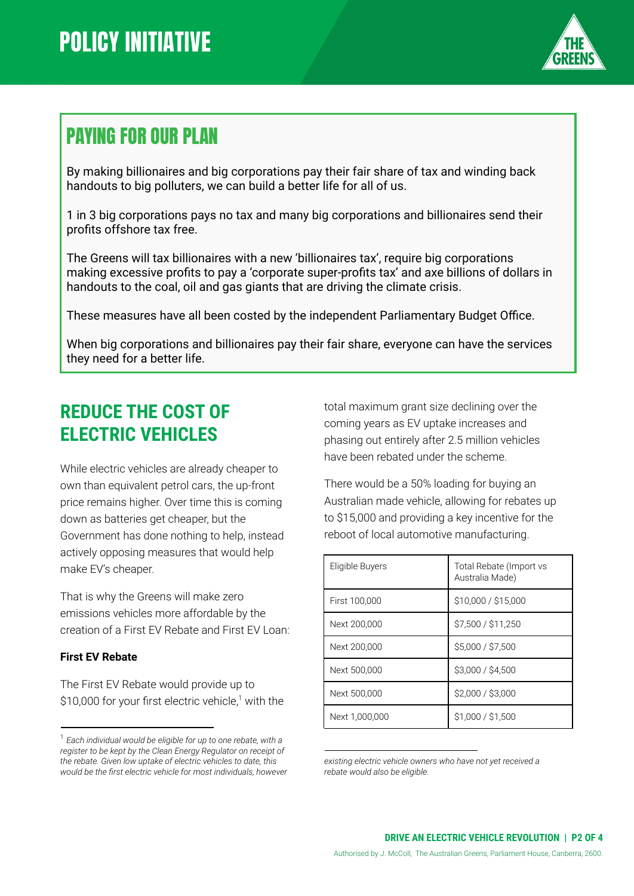

### PAYING FOR OUR PLAN

By making billionaires and big corporations pay their fair share of tax and winding back handouts to big polluters, we can build a better life for all of us.

1 in 3 big corporations pays no tax and many big corporations and billionaires send their profits offshore tax free.

The Greens will tax billionaires with a new 'billionaires tax', require big corporations making excessive profits to pay a 'corporate super-profits tax' and axe billions of dollars in handouts to the coal, oil and gas giants that are driving the climate crisis.

These measures have all been costed by the independent Parliamentary Budget Office.

When big corporations and billionaires pay their fair share, everyone can have the services they need for a better life.

### **REDUCE THE COST OF ELECTRIC VEHICLES**

While electric vehicles are already cheaper to own than equivalent petrol cars, the up-front price remains higher. Over time this is coming down as batteries get cheaper, but the Government has done nothing to help, instead actively opposing measures that would help make EV's cheaper.

That is why the Greens will make zero emissions vehicles more affordable by the creation of a First EV Rebate and First EV Loan:

#### **First EV Rebate**

The First EV Rebate would provide up to \$10,000 for your first electric vehicle,<sup>1</sup> with the total maximum grant size declining over the coming years as EV uptake increases and phasing out entirely after 2.5 million vehicles have been rebated under the scheme.

There would be a 50% loading for buying an Australian made vehicle, allowing for rebates up to \$15,000 and providing a key incentive for the reboot of local automotive manufacturing.

| Eligible Buyers | Total Rebate (Import vs<br>Australia Made) |
|-----------------|--------------------------------------------|
| First 100,000   | \$10,000 / \$15,000                        |
| Next 200,000    | \$7,500 / \$11,250                         |
| Next 200.000    | \$5,000 / \$7,500                          |
| Next 500,000    | \$3,000 / \$4,500                          |
| Next 500,000    | \$2,000 / \$3,000                          |
| Next 1.000.000  | \$1,000 / \$1,500                          |

*existing electric vehicle owners who have not yet received a rebate would also be eligible.*

<sup>1</sup> *Each individual would be eligible for up to one rebate, with a register to be kept by the Clean Energy Regulator on receipt of the rebate. Given low uptake of electric vehicles to date, this would be the first electric vehicle for most individuals, however*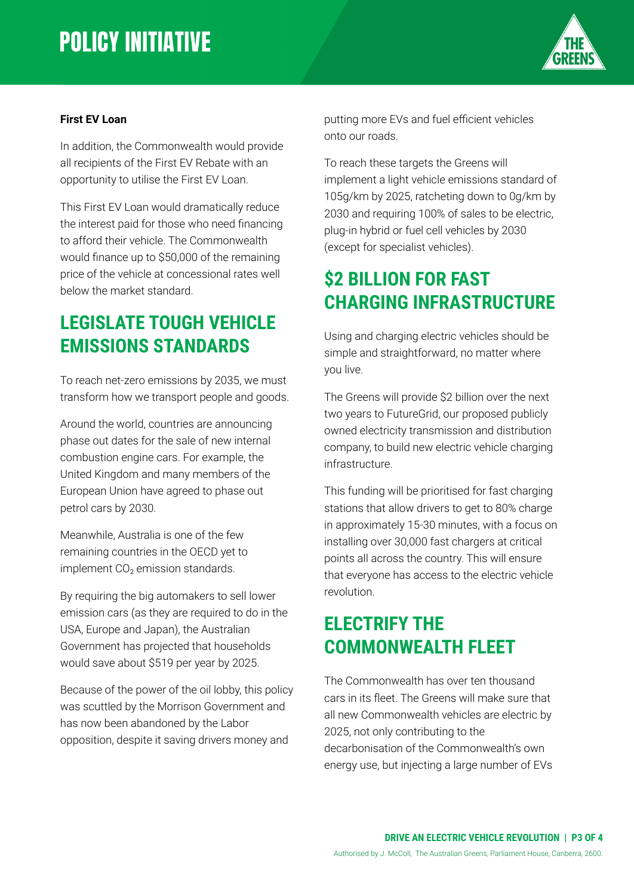## **POLICY INITIATIVE**



#### **First EV Loan**

In addition, the Commonwealth would provide all recipients of the First EV Rebate with an opportunity to utilise the First EV Loan.

This First EV Loan would dramatically reduce the interest paid for those who need financing to afford their vehicle. The Commonwealth would finance up to \$50,000 of the remaining price of the vehicle at concessional rates well below the market standard.

#### **LEGISLATE TOUGH VEHICLE EMISSIONS STANDARDS**

To reach net-zero emissions by 2035, we must transform how we transport people and goods.

Around the world, countries are announcing phase out dates for the sale of new internal combustion engine cars. For example, the United Kingdom and many members of the European Union have agreed to phase out petrol cars by 2030.

Meanwhile, Australia is one of the few remaining countries in the OECD yet to implement  $CO<sub>2</sub>$  emission standards.

By requiring the big automakers to sell lower emission cars (as they are required to do in the USA, Europe and Japan), the Australian Government has projected that households would save about \$519 per year by 2025.

Because of the power of the oil lobby, this policy was scuttled by the Morrison Government and has now been abandoned by the Labor opposition, despite it saving drivers money and

putting more EVs and fuel efficient vehicles onto our roads.

To reach these targets the Greens will implement a light vehicle emissions standard of 105g/km by 2025, ratcheting down to 0g/km by 2030 and requiring 100% of sales to be electric, plug-in hybrid or fuel cell vehicles by 2030 (except for specialist vehicles).

### **\$2 BILLION FOR FAST CHARGING INFRASTRUCTURE**

Using and charging electric vehicles should be simple and straightforward, no matter where you live.

The Greens will provide \$2 billion over the next two years to FutureGrid, our proposed publicly owned electricity transmission and distribution company, to build new electric vehicle charging infrastructure.

This funding will be prioritised for fast charging stations that allow drivers to get to 80% charge in approximately 15-30 minutes, with a focus on installing over 30,000 fast chargers at critical points all across the country. This will ensure that everyone has access to the electric vehicle revolution.

#### **ELECTRIFY THE COMMONWEALTH FLEET**

The Commonwealth has over ten thousand cars in its fleet. The Greens will make sure that all new Commonwealth vehicles are electric by 2025, not only contributing to the decarbonisation of the Commonwealth's own energy use, but injecting a large number of EVs